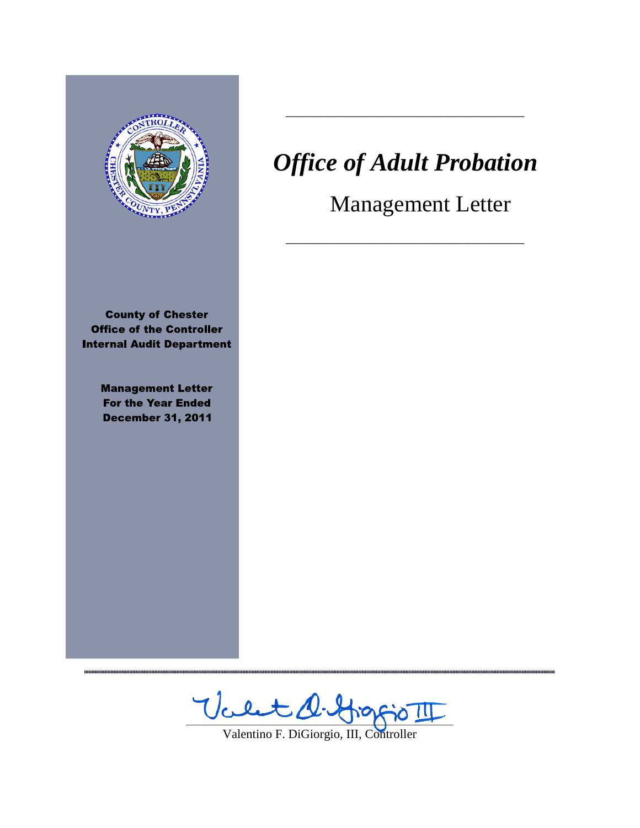

**County of Chester Office of the Controller Internal Audit Department** 

> **Management Letter For the Year Ended December 31, 2011**

# *Office of Adult Probation*

\_\_\_\_\_\_\_\_\_\_\_\_\_\_\_\_\_\_\_\_\_\_\_\_\_\_\_\_\_\_\_\_\_\_\_\_\_\_

\_\_\_\_\_\_\_\_\_\_\_\_\_\_\_\_\_\_\_\_\_\_\_\_\_\_\_\_\_\_\_\_\_\_\_\_\_\_

Management Letter

 $\forall \text{left} \perp \text{left}$ 

Valentino F. DiGiorgio, III, Controller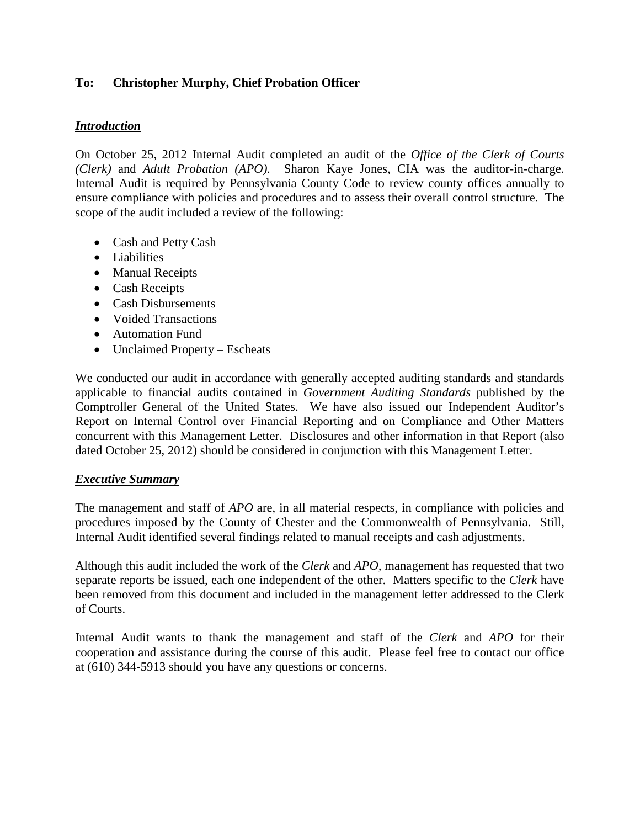# **To: Christopher Murphy, Chief Probation Officer**

## *Introduction*

On October 25, 2012 Internal Audit completed an audit of the *Office of the Clerk of Courts (Clerk)* and *Adult Probation (APO).* Sharon Kaye Jones, CIA was the auditor-in-charge. Internal Audit is required by Pennsylvania County Code to review county offices annually to ensure compliance with policies and procedures and to assess their overall control structure. The scope of the audit included a review of the following:

- Cash and Petty Cash
- Liabilities
- Manual Receipts
- Cash Receipts
- Cash Disbursements
- Voided Transactions
- Automation Fund
- Unclaimed Property Escheats

We conducted our audit in accordance with generally accepted auditing standards and standards applicable to financial audits contained in *Government Auditing Standards* published by the Comptroller General of the United States. We have also issued our Independent Auditor's Report on Internal Control over Financial Reporting and on Compliance and Other Matters concurrent with this Management Letter. Disclosures and other information in that Report (also dated October 25, 2012) should be considered in conjunction with this Management Letter.

## *Executive Summary*

The management and staff of *APO* are, in all material respects, in compliance with policies and procedures imposed by the County of Chester and the Commonwealth of Pennsylvania. Still, Internal Audit identified several findings related to manual receipts and cash adjustments.

Although this audit included the work of the *Clerk* and *APO,* management has requested that two separate reports be issued, each one independent of the other. Matters specific to the *Clerk* have been removed from this document and included in the management letter addressed to the Clerk of Courts.

Internal Audit wants to thank the management and staff of the *Clerk* and *APO* for their cooperation and assistance during the course of this audit. Please feel free to contact our office at (610) 344-5913 should you have any questions or concerns.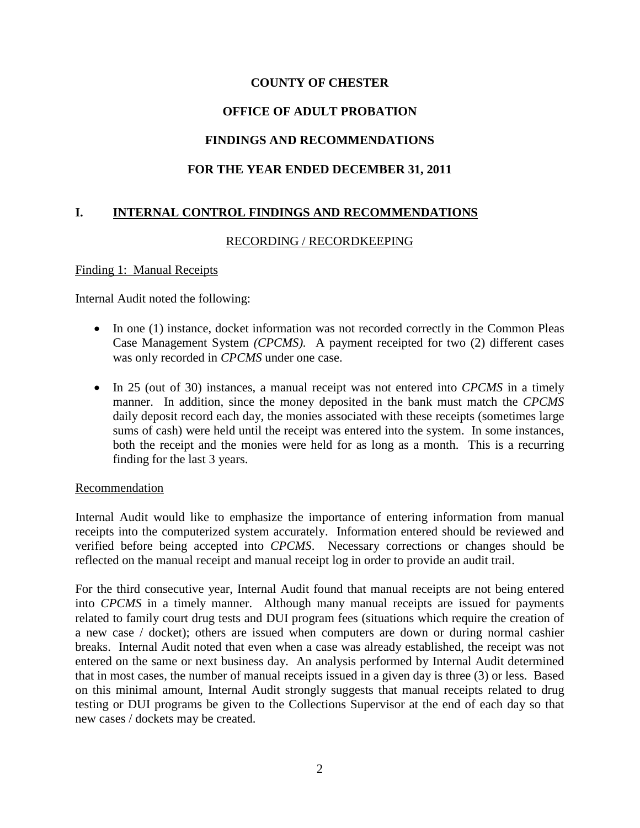# **OFFICE OF ADULT PROBATION**

# **FINDINGS AND RECOMMENDATIONS**

## **FOR THE YEAR ENDED DECEMBER 31, 2011**

# **I. INTERNAL CONTROL FINDINGS AND RECOMMENDATIONS**

## RECORDING / RECORDKEEPING

Finding 1: Manual Receipts

Internal Audit noted the following:

- In one (1) instance, docket information was not recorded correctly in the Common Pleas Case Management System *(CPCMS).* A payment receipted for two (2) different cases was only recorded in *CPCMS* under one case.
- In 25 (out of 30) instances, a manual receipt was not entered into *CPCMS* in a timely manner. In addition, since the money deposited in the bank must match the *CPCMS*  daily deposit record each day, the monies associated with these receipts (sometimes large sums of cash) were held until the receipt was entered into the system. In some instances, both the receipt and the monies were held for as long as a month. This is a recurring finding for the last 3 years.

#### Recommendation

Internal Audit would like to emphasize the importance of entering information from manual receipts into the computerized system accurately. Information entered should be reviewed and verified before being accepted into *CPCMS*. Necessary corrections or changes should be reflected on the manual receipt and manual receipt log in order to provide an audit trail.

For the third consecutive year, Internal Audit found that manual receipts are not being entered into *CPCMS* in a timely manner. Although many manual receipts are issued for payments related to family court drug tests and DUI program fees (situations which require the creation of a new case / docket); others are issued when computers are down or during normal cashier breaks. Internal Audit noted that even when a case was already established, the receipt was not entered on the same or next business day. An analysis performed by Internal Audit determined that in most cases, the number of manual receipts issued in a given day is three (3) or less. Based on this minimal amount, Internal Audit strongly suggests that manual receipts related to drug testing or DUI programs be given to the Collections Supervisor at the end of each day so that new cases / dockets may be created.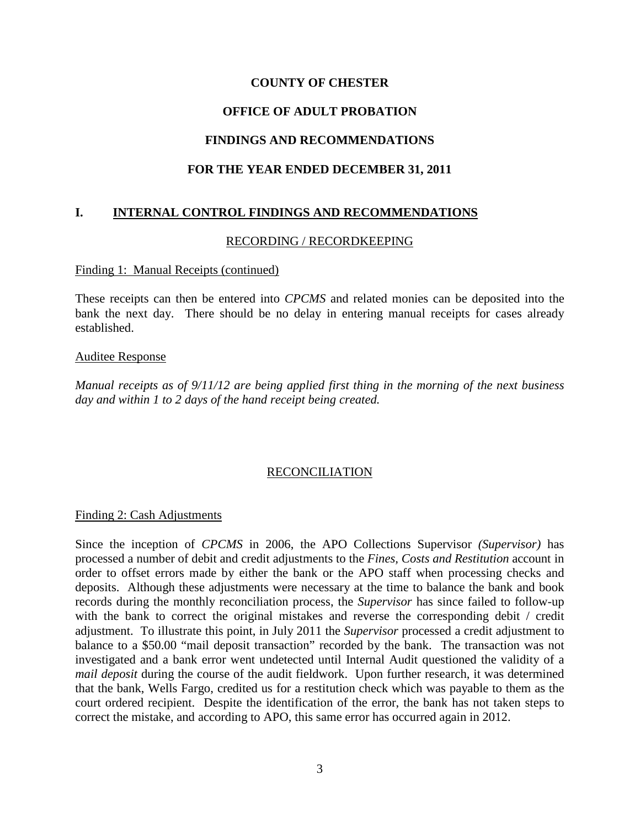# **OFFICE OF ADULT PROBATION**

# **FINDINGS AND RECOMMENDATIONS**

## **FOR THE YEAR ENDED DECEMBER 31, 2011**

# **I. INTERNAL CONTROL FINDINGS AND RECOMMENDATIONS**

#### RECORDING / RECORDKEEPING

#### Finding 1: Manual Receipts (continued)

These receipts can then be entered into *CPCMS* and related monies can be deposited into the bank the next day. There should be no delay in entering manual receipts for cases already established.

#### Auditee Response

*Manual receipts as of 9/11/12 are being applied first thing in the morning of the next business day and within 1 to 2 days of the hand receipt being created.*

## RECONCILIATION

#### Finding 2: Cash Adjustments

Since the inception of *CPCMS* in 2006, the APO Collections Supervisor *(Supervisor)* has processed a number of debit and credit adjustments to the *Fines, Costs and Restitution* account in order to offset errors made by either the bank or the APO staff when processing checks and deposits. Although these adjustments were necessary at the time to balance the bank and book records during the monthly reconciliation process, the *Supervisor* has since failed to follow-up with the bank to correct the original mistakes and reverse the corresponding debit / credit adjustment. To illustrate this point, in July 2011 the *Supervisor* processed a credit adjustment to balance to a \$50.00 "mail deposit transaction" recorded by the bank. The transaction was not investigated and a bank error went undetected until Internal Audit questioned the validity of a *mail deposit* during the course of the audit fieldwork. Upon further research, it was determined that the bank, Wells Fargo, credited us for a restitution check which was payable to them as the court ordered recipient. Despite the identification of the error, the bank has not taken steps to correct the mistake, and according to APO, this same error has occurred again in 2012.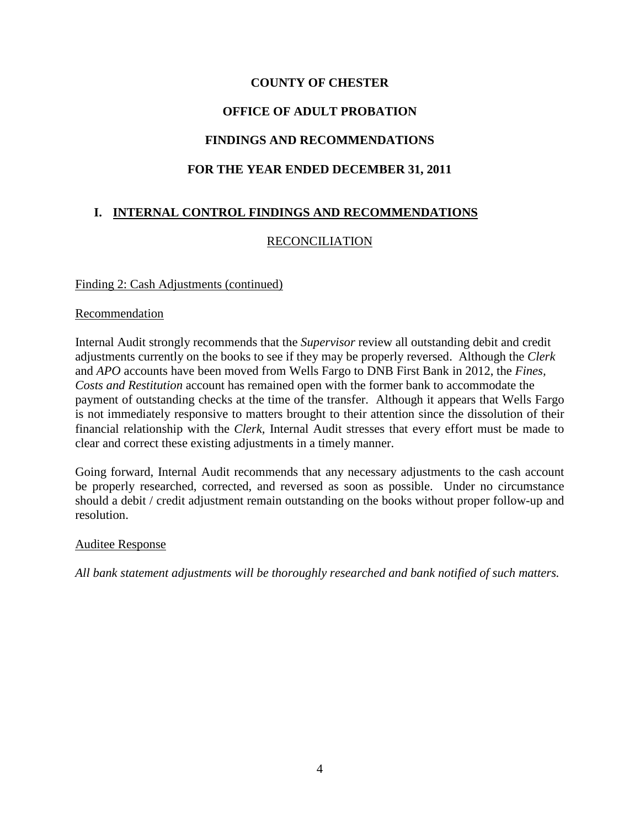# **OFFICE OF ADULT PROBATION**

# **FINDINGS AND RECOMMENDATIONS**

# **FOR THE YEAR ENDED DECEMBER 31, 2011**

# **I. INTERNAL CONTROL FINDINGS AND RECOMMENDATIONS**

# RECONCILIATION

## Finding 2: Cash Adjustments (continued)

#### Recommendation

Internal Audit strongly recommends that the *Supervisor* review all outstanding debit and credit adjustments currently on the books to see if they may be properly reversed. Although the *Clerk*  and *APO* accounts have been moved from Wells Fargo to DNB First Bank in 2012, the *Fines, Costs and Restitution* account has remained open with the former bank to accommodate the payment of outstanding checks at the time of the transfer. Although it appears that Wells Fargo is not immediately responsive to matters brought to their attention since the dissolution of their financial relationship with the *Clerk,* Internal Audit stresses that every effort must be made to clear and correct these existing adjustments in a timely manner.

Going forward, Internal Audit recommends that any necessary adjustments to the cash account be properly researched, corrected, and reversed as soon as possible. Under no circumstance should a debit / credit adjustment remain outstanding on the books without proper follow-up and resolution.

## Auditee Response

*All bank statement adjustments will be thoroughly researched and bank notified of such matters.*